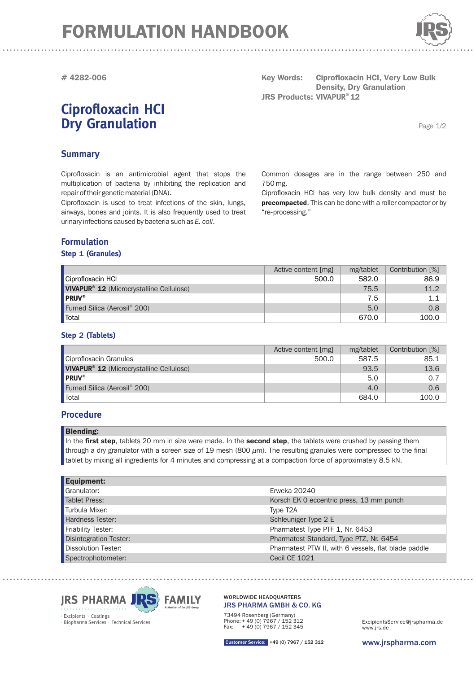# FORMULATION HANDBOOK



**# 4282-006**

### **Ciprofloxacin HCI Dry Granulation**

**Key Words:** Ciprofloxacin HCI, Very Low Bulk **JRS Products: 12 VIVAPUR® Density, Dry Granulation** 

Page 1/2

#### **Summary**

Ciprofloxacin is an antimicrobial agent that stops the multiplication of bacteria by inhibiting the replication and repair of their genetic material (DNA).

Ciprofloxacin is used to treat infections of the skin, lungs, airways, bones and joints. It is also frequently used to treat urinary infections caused by bacteria such as *E. coli*.

#### **Formulation**

#### **Step 1 (Granules)**

Common dosages are in the range between 250 and 750 mg.

Ciprofloxacin HCl has very low bulk density and must be precompacted. This can be done with a roller compactor or by . "re-processing "

|                                                      | Active content [mg] | mg/tablet | Contribution [%] |
|------------------------------------------------------|---------------------|-----------|------------------|
| Ciprofloxacin HCl                                    | 500.0               | 582.0     | 86.9             |
| VIVAPUR <sup>®</sup> 12 (Microcrystalline Cellulose) |                     | 75.5      | 11.2             |
| <b>PRUV®</b>                                         |                     | 7.5       | 1.1              |
| Fumed Silica (Aerosil® 200)                          |                     | 5.0       | 0.8              |
| <b>Total</b>                                         |                     | 670.0     | 100.0            |

#### **Step 2 (Tablets)**

|                                                            | Active content [mg] | mg/tablet | Contribution [%] |
|------------------------------------------------------------|---------------------|-----------|------------------|
| Ciprofloxacin Granules                                     | 500.0               | 587.5     | 85.1             |
| <b>VIVAPUR<sup>®</sup> 12</b> (Microcrystalline Cellulose) |                     | 93.5      | 13.6             |
| <b>PRUV®</b>                                               |                     | 5.0       | 0.7              |
| Fumed Silica (Aerosil <sup>®</sup> 200)                    |                     | 4.0       | 0.6              |
| Total                                                      |                     | 684.0     | 100.0            |

#### **Procedure**

| <b>Blending:</b> |
|------------------|
|------------------|

In the first step, tablets 20 mm in size were made. In the second step, the tablets were crushed by passing them through a dry granulator with a screen size of 19 mesh (800  $\mu$ m). The resulting granules were compressed to the final tablet by mixing all ingredients for 4 minutes and compressing at a compaction force of approximately 8.5 kN.

| <b>Equipment:</b>             |                                                      |
|-------------------------------|------------------------------------------------------|
| Granulator:                   | Erweka 20240                                         |
| <b>Tablet Press:</b>          | Korsch EK 0 eccentric press, 13 mm punch             |
| Turbula Mixer:                | Type T <sub>2</sub> A                                |
| Hardness Tester:              | Schleuniger Type 2 E                                 |
| <b>Friability Tester:</b>     | Pharmatest Type PTF 1, Nr. 6453                      |
| <b>Disintegration Tester:</b> | Pharmatest Standard, Type PTZ, Nr. 6454              |
| <b>Dissolution Tester:</b>    | Pharmatest PTW II, with 6 vessels, flat blade paddle |
| Spectrophotometer:            | Cecil CE 1021                                        |



# 73494 Rosenberg (Germany) Phone: + 49 (0) 7967 / 152 312 Fax: + 49 (0) 7967 / 152 345

WORLDWIDE HEADQUARTERS

JRS PHARMA GMBH & CO. KG

www.jrs.de ExcipientsService@jrspharma.de

www.jrspharma.com